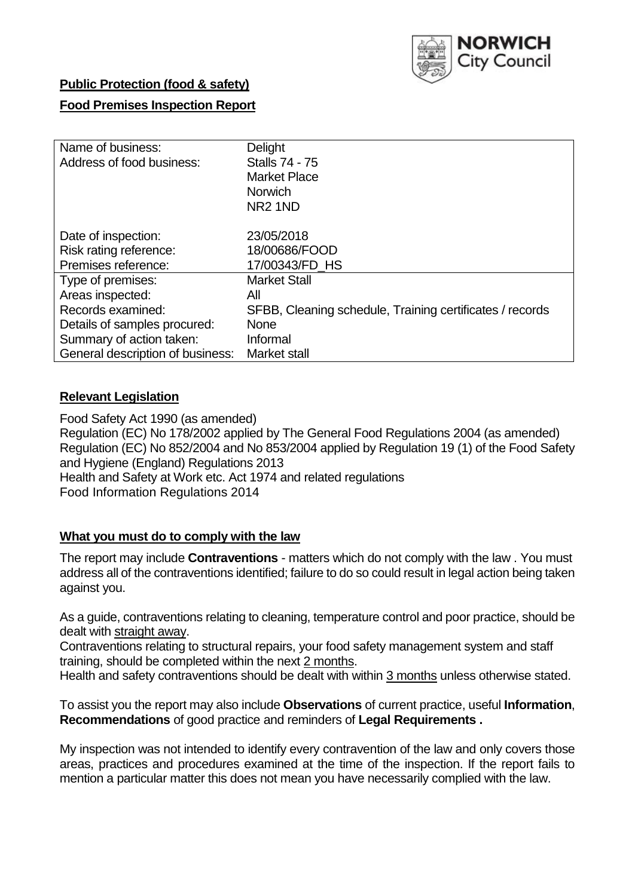

# **Public Protection (food & safety)**

### **Food Premises Inspection Report**

| Name of business:<br>Address of food business: | Delight<br><b>Stalls 74 - 75</b><br><b>Market Place</b><br><b>Norwich</b><br>NR <sub>2</sub> 1ND |
|------------------------------------------------|--------------------------------------------------------------------------------------------------|
| Date of inspection:<br>Risk rating reference:  | 23/05/2018<br>18/00686/FOOD                                                                      |
| Premises reference:                            | 17/00343/FD HS                                                                                   |
| Type of premises:                              | <b>Market Stall</b>                                                                              |
| Areas inspected:                               | Αll                                                                                              |
| Records examined:                              | SFBB, Cleaning schedule, Training certificates / records                                         |
| Details of samples procured:                   | <b>None</b>                                                                                      |
| Summary of action taken:                       | Informal                                                                                         |
| General description of business:               | Market stall                                                                                     |

# **Relevant Legislation**

Food Safety Act 1990 (as amended) Regulation (EC) No 178/2002 applied by The General Food Regulations 2004 (as amended) Regulation (EC) No 852/2004 and No 853/2004 applied by Regulation 19 (1) of the Food Safety and Hygiene (England) Regulations 2013 Health and Safety at Work etc. Act 1974 and related regulations Food Information Regulations 2014

### **What you must do to comply with the law**

The report may include **Contraventions** - matters which do not comply with the law . You must address all of the contraventions identified; failure to do so could result in legal action being taken against you.

As a guide, contraventions relating to cleaning, temperature control and poor practice, should be dealt with straight away.

Contraventions relating to structural repairs, your food safety management system and staff training, should be completed within the next 2 months.

Health and safety contraventions should be dealt with within 3 months unless otherwise stated.

To assist you the report may also include **Observations** of current practice, useful **Information**, **Recommendations** of good practice and reminders of **Legal Requirements .**

My inspection was not intended to identify every contravention of the law and only covers those areas, practices and procedures examined at the time of the inspection. If the report fails to mention a particular matter this does not mean you have necessarily complied with the law.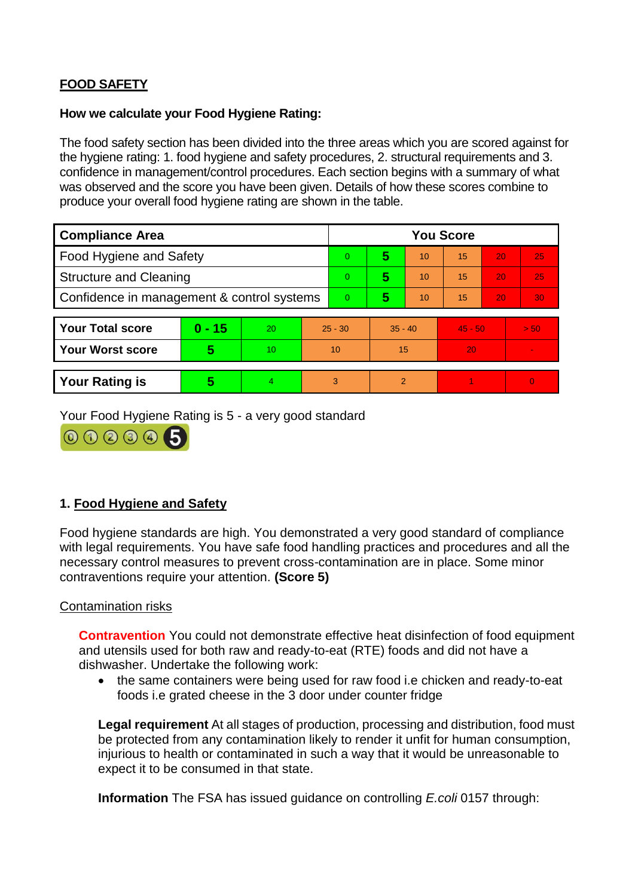# **FOOD SAFETY**

### **How we calculate your Food Hygiene Rating:**

The food safety section has been divided into the three areas which you are scored against for the hygiene rating: 1. food hygiene and safety procedures, 2. structural requirements and 3. confidence in management/control procedures. Each section begins with a summary of what was observed and the score you have been given. Details of how these scores combine to produce your overall food hygiene rating are shown in the table.

| <b>Compliance Area</b>                     |          |    |           | <b>You Score</b> |                |    |           |    |          |  |  |
|--------------------------------------------|----------|----|-----------|------------------|----------------|----|-----------|----|----------|--|--|
| Food Hygiene and Safety                    |          |    |           | $\Omega$         | 5              | 10 | 15        | 20 | 25       |  |  |
| <b>Structure and Cleaning</b>              |          |    | $\Omega$  | 5                | 10             | 15 | 20        | 25 |          |  |  |
| Confidence in management & control systems |          |    | $\Omega$  | 5                | 10             | 15 | 20        | 30 |          |  |  |
|                                            |          |    |           |                  |                |    |           |    |          |  |  |
| <b>Your Total score</b>                    | $0 - 15$ | 20 | $25 - 30$ |                  | $35 - 40$      |    | $45 - 50$ |    | > 50     |  |  |
| <b>Your Worst score</b>                    | 5        | 10 |           | 10               | 15             |    | 20        |    |          |  |  |
|                                            |          |    |           |                  |                |    |           |    |          |  |  |
| <b>Your Rating is</b>                      | 5        | 4  |           | 3                | $\overline{2}$ |    |           |    | $\Omega$ |  |  |

Your Food Hygiene Rating is 5 - a very good standard



# **1. Food Hygiene and Safety**

Food hygiene standards are high. You demonstrated a very good standard of compliance with legal requirements. You have safe food handling practices and procedures and all the necessary control measures to prevent cross-contamination are in place. Some minor contraventions require your attention. **(Score 5)**

### Contamination risks

**Contravention** You could not demonstrate effective heat disinfection of food equipment and utensils used for both raw and ready-to-eat (RTE) foods and did not have a dishwasher. Undertake the following work:

 the same containers were being used for raw food i.e chicken and ready-to-eat foods i.e grated cheese in the 3 door under counter fridge

**Legal requirement** At all stages of production, processing and distribution, food must be protected from any contamination likely to render it unfit for human consumption, injurious to health or contaminated in such a way that it would be unreasonable to expect it to be consumed in that state.

**Information** The FSA has issued guidance on controlling *E.coli* 0157 through: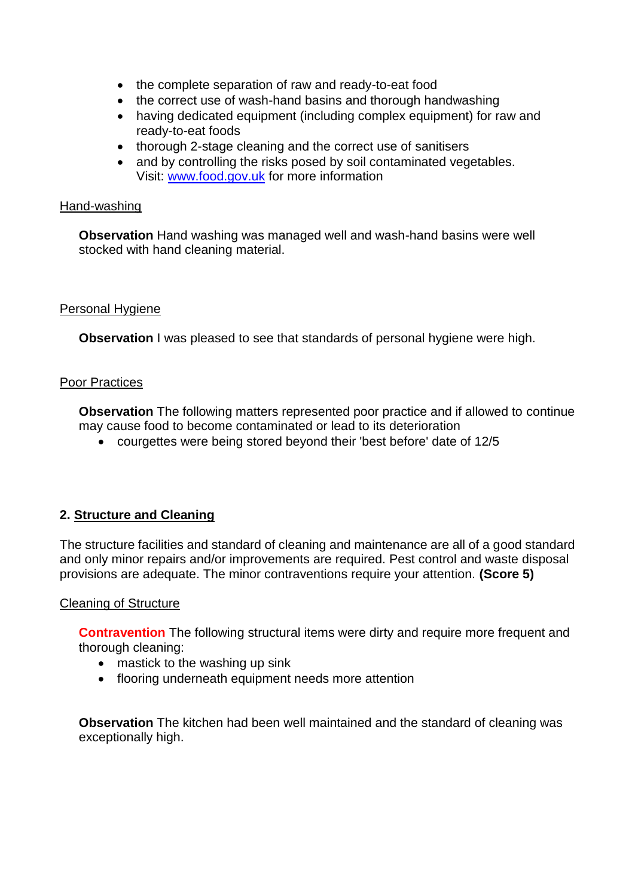- the complete separation of raw and ready-to-eat food
- the correct use of wash-hand basins and thorough handwashing
- having dedicated equipment (including complex equipment) for raw and ready-to-eat foods
- thorough 2-stage cleaning and the correct use of sanitisers
- and by controlling the risks posed by soil contaminated vegetables. Visit: [www.food.gov.uk](http://www.food.gov.uk/) for more information

### Hand-washing

**Observation** Hand washing was managed well and wash-hand basins were well stocked with hand cleaning material.

### Personal Hygiene

**Observation** I was pleased to see that standards of personal hygiene were high.

### Poor Practices

**Observation** The following matters represented poor practice and if allowed to continue may cause food to become contaminated or lead to its deterioration

courgettes were being stored beyond their 'best before' date of 12/5

# **2. Structure and Cleaning**

The structure facilities and standard of cleaning and maintenance are all of a good standard and only minor repairs and/or improvements are required. Pest control and waste disposal provisions are adequate. The minor contraventions require your attention. **(Score 5)**

#### Cleaning of Structure

**Contravention** The following structural items were dirty and require more frequent and thorough cleaning:

- mastick to the washing up sink
- flooring underneath equipment needs more attention

**Observation** The kitchen had been well maintained and the standard of cleaning was exceptionally high.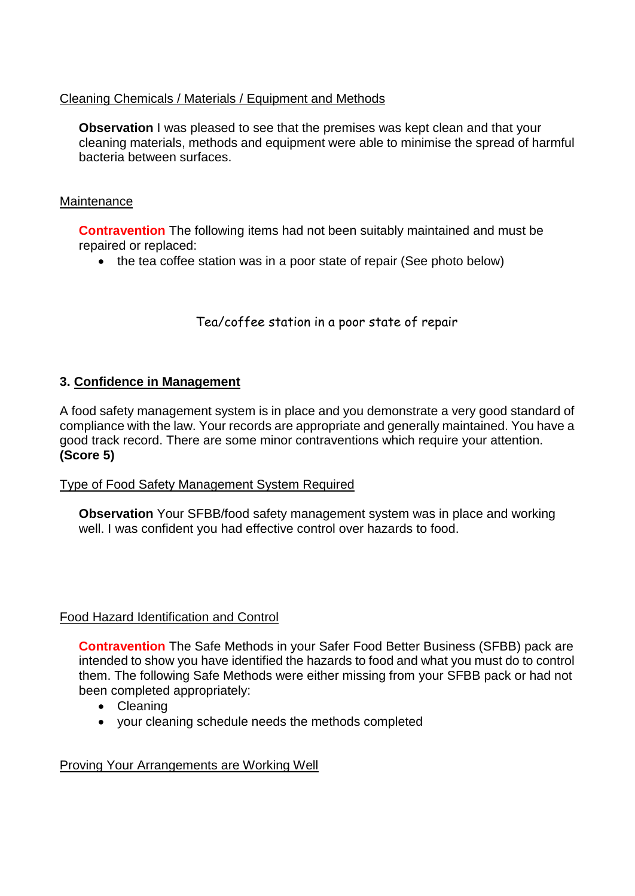# Cleaning Chemicals / Materials / Equipment and Methods

**Observation** I was pleased to see that the premises was kept clean and that your cleaning materials, methods and equipment were able to minimise the spread of harmful bacteria between surfaces.

### **Maintenance**

**Contravention** The following items had not been suitably maintained and must be repaired or replaced:

• the tea coffee station was in a poor state of repair (See photo below)

Tea/coffee station in a poor state of repair

# **3. Confidence in Management**

A food safety management system is in place and you demonstrate a very good standard of compliance with the law. Your records are appropriate and generally maintained. You have a good track record. There are some minor contraventions which require your attention. **(Score 5)**

### Type of Food Safety Management System Required

**Observation** Your SFBB/food safety management system was in place and working well. I was confident you had effective control over hazards to food.

### Food Hazard Identification and Control

**Contravention** The Safe Methods in your Safer Food Better Business (SFBB) pack are intended to show you have identified the hazards to food and what you must do to control them. The following Safe Methods were either missing from your SFBB pack or had not been completed appropriately:

- Cleaning
- your cleaning schedule needs the methods completed

### Proving Your Arrangements are Working Well